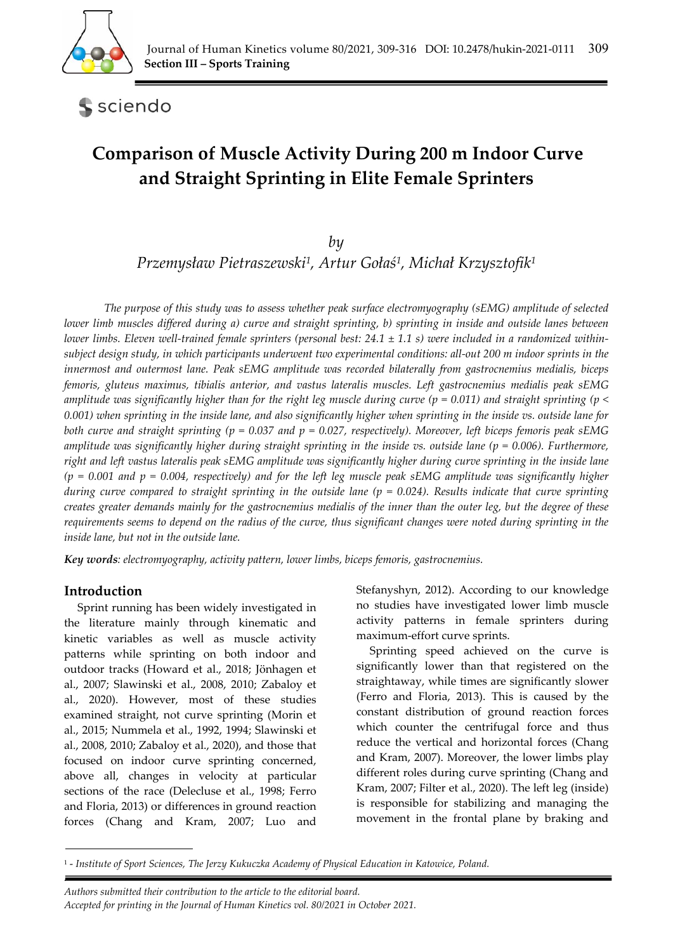

**S** sciendo

# **Comparison of Muscle Activity During 200 m Indoor Curve and Straight Sprinting in Elite Female Sprinters**

# *by*

*Przemysław Pietraszewski1, Artur Gołaś1, Michał Krzysztofik1*

*The purpose of this study was to assess whether peak surface electromyography (sEMG) amplitude of selected lower limb muscles differed during a) curve and straight sprinting, b) sprinting in inside and outside lanes between lower limbs. Eleven well-trained female sprinters (personal best: 24.1 ± 1.1 s) were included in a randomized withinsubject design study, in which participants underwent two experimental conditions: all-out 200 m indoor sprints in the innermost and outermost lane. Peak sEMG amplitude was recorded bilaterally from gastrocnemius medialis, biceps femoris, gluteus maximus, tibialis anterior, and vastus lateralis muscles. Left gastrocnemius medialis peak sEMG amplitude was significantly higher than for the right leg muscle during curve (p = 0.011) and straight sprinting (p < 0.001) when sprinting in the inside lane, and also significantly higher when sprinting in the inside vs. outside lane for both curve and straight sprinting (p = 0.037 and p = 0.027, respectively). Moreover, left biceps femoris peak sEMG amplitude was significantly higher during straight sprinting in the inside vs. outside lane (p = 0.006). Furthermore, right and left vastus lateralis peak sEMG amplitude was significantly higher during curve sprinting in the inside lane (p = 0.001 and p = 0.004, respectively) and for the left leg muscle peak sEMG amplitude was significantly higher during curve compared to straight sprinting in the outside lane (p = 0.024). Results indicate that curve sprinting creates greater demands mainly for the gastrocnemius medialis of the inner than the outer leg, but the degree of these requirements seems to depend on the radius of the curve, thus significant changes were noted during sprinting in the inside lane, but not in the outside lane.* 

*Key words: electromyography, activity pattern, lower limbs, biceps femoris, gastrocnemius.* 

# **Introduction**

*.* 

Sprint running has been widely investigated in the literature mainly through kinematic and kinetic variables as well as muscle activity patterns while sprinting on both indoor and outdoor tracks (Howard et al., 2018; Jönhagen et al., 2007; Slawinski et al., 2008, 2010; Zabaloy et al., 2020). However, most of these studies examined straight, not curve sprinting (Morin et al., 2015; Nummela et al., 1992, 1994; Slawinski et al., 2008, 2010; Zabaloy et al., 2020), and those that focused on indoor curve sprinting concerned, above all, changes in velocity at particular sections of the race (Delecluse et al., 1998; Ferro and Floria, 2013) or differences in ground reaction forces (Chang and Kram, 2007; Luo and

Stefanyshyn, 2012). According to our knowledge no studies have investigated lower limb muscle activity patterns in female sprinters during maximum-effort curve sprints.

Sprinting speed achieved on the curve is significantly lower than that registered on the straightaway, while times are significantly slower (Ferro and Floria, 2013). This is caused by the constant distribution of ground reaction forces which counter the centrifugal force and thus reduce the vertical and horizontal forces (Chang and Kram, 2007). Moreover, the lower limbs play different roles during curve sprinting (Chang and Kram, 2007; Filter et al., 2020). The left leg (inside) is responsible for stabilizing and managing the movement in the frontal plane by braking and

*Authors submitted their contribution to the article to the editorial board.* 

<sup>1 -</sup> *Institute of Sport Sciences, The Jerzy Kukuczka Academy of Physical Education in Katowice, Poland.* 

*Accepted for printing in the Journal of Human Kinetics vol. 80/2021 in October 2021.*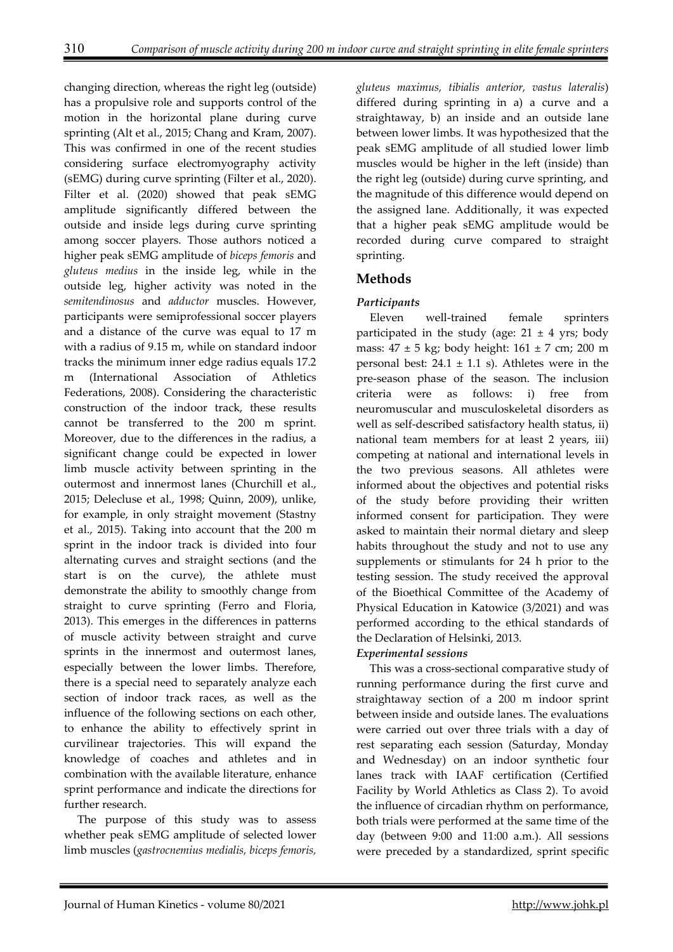changing direction, whereas the right leg (outside) has a propulsive role and supports control of the motion in the horizontal plane during curve sprinting (Alt et al., 2015; Chang and Kram, 2007). This was confirmed in one of the recent studies considering surface electromyography activity (sEMG) during curve sprinting (Filter et al., 2020). Filter et al. (2020) showed that peak sEMG amplitude significantly differed between the outside and inside legs during curve sprinting among soccer players. Those authors noticed a higher peak sEMG amplitude of *biceps femoris* and *gluteus medius* in the inside leg, while in the outside leg, higher activity was noted in the *semitendinosus* and *adductor* muscles. However, participants were semiprofessional soccer players and a distance of the curve was equal to 17 m with a radius of 9.15 m, while on standard indoor tracks the minimum inner edge radius equals 17.2 m (International Association of Athletics Federations, 2008). Considering the characteristic construction of the indoor track, these results cannot be transferred to the 200 m sprint. Moreover, due to the differences in the radius, a significant change could be expected in lower limb muscle activity between sprinting in the outermost and innermost lanes (Churchill et al., 2015; Delecluse et al., 1998; Quinn, 2009), unlike, for example, in only straight movement (Stastny et al., 2015). Taking into account that the 200 m sprint in the indoor track is divided into four alternating curves and straight sections (and the start is on the curve), the athlete must demonstrate the ability to smoothly change from straight to curve sprinting (Ferro and Floria, 2013). This emerges in the differences in patterns of muscle activity between straight and curve sprints in the innermost and outermost lanes, especially between the lower limbs. Therefore, there is a special need to separately analyze each section of indoor track races, as well as the influence of the following sections on each other, to enhance the ability to effectively sprint in curvilinear trajectories. This will expand the knowledge of coaches and athletes and in combination with the available literature, enhance sprint performance and indicate the directions for further research.

The purpose of this study was to assess whether peak sEMG amplitude of selected lower limb muscles (*gastrocnemius medialis, biceps femoris,* 

*gluteus maximus, tibialis anterior, vastus lateralis*) differed during sprinting in a) a curve and a straightaway, b) an inside and an outside lane between lower limbs. It was hypothesized that the peak sEMG amplitude of all studied lower limb muscles would be higher in the left (inside) than the right leg (outside) during curve sprinting, and the magnitude of this difference would depend on the assigned lane. Additionally, it was expected that a higher peak sEMG amplitude would be recorded during curve compared to straight sprinting.

# **Methods**

## *Participants*

Eleven well-trained female sprinters participated in the study (age:  $21 \pm 4$  yrs; body mass:  $47 \pm 5$  kg; body height:  $161 \pm 7$  cm; 200 m personal best:  $24.1 \pm 1.1$  s). Athletes were in the pre-season phase of the season. The inclusion criteria were as follows: i) free from neuromuscular and musculoskeletal disorders as well as self-described satisfactory health status, ii) national team members for at least 2 years, iii) competing at national and international levels in the two previous seasons. All athletes were informed about the objectives and potential risks of the study before providing their written informed consent for participation. They were asked to maintain their normal dietary and sleep habits throughout the study and not to use any supplements or stimulants for 24 h prior to the testing session. The study received the approval of the Bioethical Committee of the Academy of Physical Education in Katowice (3/2021) and was performed according to the ethical standards of the Declaration of Helsinki, 2013.

## *Experimental sessions*

This was a cross-sectional comparative study of running performance during the first curve and straightaway section of a 200 m indoor sprint between inside and outside lanes. The evaluations were carried out over three trials with a day of rest separating each session (Saturday, Monday and Wednesday) on an indoor synthetic four lanes track with IAAF certification (Certified Facility by World Athletics as Class 2). To avoid the influence of circadian rhythm on performance, both trials were performed at the same time of the day (between 9:00 and 11:00 a.m.). All sessions were preceded by a standardized, sprint specific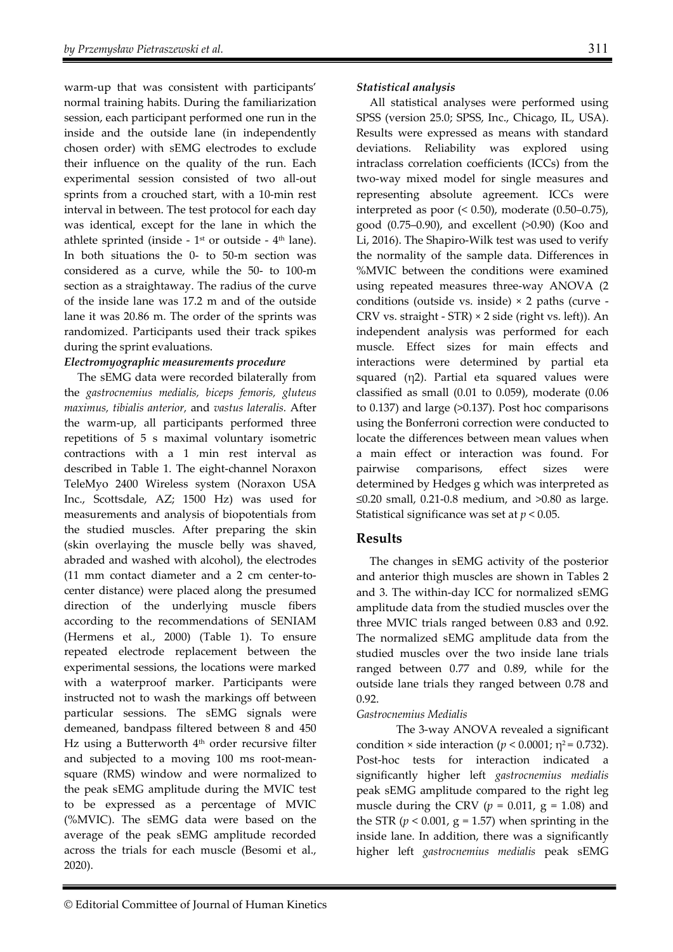warm-up that was consistent with participants' normal training habits. During the familiarization session, each participant performed one run in the inside and the outside lane (in independently chosen order) with sEMG electrodes to exclude their influence on the quality of the run. Each experimental session consisted of two all-out sprints from a crouched start, with a 10-min rest interval in between. The test protocol for each day was identical, except for the lane in which the athlete sprinted (inside -  $1<sup>st</sup>$  or outside -  $4<sup>th</sup>$  lane). In both situations the 0- to 50-m section was considered as a curve, while the 50- to 100-m section as a straightaway. The radius of the curve of the inside lane was 17.2 m and of the outside lane it was 20.86 m. The order of the sprints was randomized. Participants used their track spikes during the sprint evaluations.

#### *Electromyographic measurements procedure*

The sEMG data were recorded bilaterally from the *gastrocnemius medialis, biceps femoris, gluteus maximus, tibialis anterior,* and *vastus lateralis.* After the warm-up, all participants performed three repetitions of 5 s maximal voluntary isometric contractions with a 1 min rest interval as described in Table 1. The eight-channel Noraxon TeleMyo 2400 Wireless system (Noraxon USA Inc., Scottsdale, AZ; 1500 Hz) was used for measurements and analysis of biopotentials from the studied muscles. After preparing the skin (skin overlaying the muscle belly was shaved, abraded and washed with alcohol), the electrodes (11 mm contact diameter and a 2 cm center-tocenter distance) were placed along the presumed direction of the underlying muscle fibers according to the recommendations of SENIAM (Hermens et al., 2000) (Table 1). To ensure repeated electrode replacement between the experimental sessions, the locations were marked with a waterproof marker. Participants were instructed not to wash the markings off between particular sessions. The sEMG signals were demeaned, bandpass filtered between 8 and 450 Hz using a Butterworth 4<sup>th</sup> order recursive filter and subjected to a moving 100 ms root-meansquare (RMS) window and were normalized to the peak sEMG amplitude during the MVIC test to be expressed as a percentage of MVIC (%MVIC). The sEMG data were based on the average of the peak sEMG amplitude recorded across the trials for each muscle (Besomi et al., 2020).

#### *Statistical analysis*

All statistical analyses were performed using SPSS (version 25.0; SPSS, Inc., Chicago, IL, USA). Results were expressed as means with standard deviations. Reliability was explored using intraclass correlation coefficients (ICCs) from the two-way mixed model for single measures and representing absolute agreement. ICCs were interpreted as poor (< 0.50), moderate (0.50–0.75), good (0.75–0.90), and excellent (>0.90) (Koo and Li, 2016). The Shapiro-Wilk test was used to verify the normality of the sample data. Differences in %MVIC between the conditions were examined using repeated measures three-way ANOVA (2 conditions (outside vs. inside) × 2 paths (curve - CRV vs. straight - STR) × 2 side (right vs. left)). An independent analysis was performed for each muscle. Effect sizes for main effects and interactions were determined by partial eta squared (η2). Partial eta squared values were classified as small (0.01 to 0.059), moderate (0.06 to 0.137) and large (>0.137). Post hoc comparisons using the Bonferroni correction were conducted to locate the differences between mean values when a main effect or interaction was found. For pairwise comparisons, effect sizes were determined by Hedges g which was interpreted as ≤0.20 small, 0.21-0.8 medium, and >0.80 as large. Statistical significance was set at *p* < 0.05.

## **Results**

The changes in sEMG activity of the posterior and anterior thigh muscles are shown in Tables 2 and 3. The within-day ICC for normalized sEMG amplitude data from the studied muscles over the three MVIC trials ranged between 0.83 and 0.92. The normalized sEMG amplitude data from the studied muscles over the two inside lane trials ranged between 0.77 and 0.89, while for the outside lane trials they ranged between 0.78 and 0.92.

## *Gastrocnemius Medialis*

The 3-way ANOVA revealed a significant condition  $\times$  side interaction ( $p < 0.0001$ ;  $\eta^2 = 0.732$ ). Post-hoc tests for interaction indicated a significantly higher left *gastrocnemius medialis* peak sEMG amplitude compared to the right leg muscle during the CRV ( $p = 0.011$ ,  $g = 1.08$ ) and the STR  $(p < 0.001, g = 1.57)$  when sprinting in the inside lane. In addition, there was a significantly higher left *gastrocnemius medialis* peak sEMG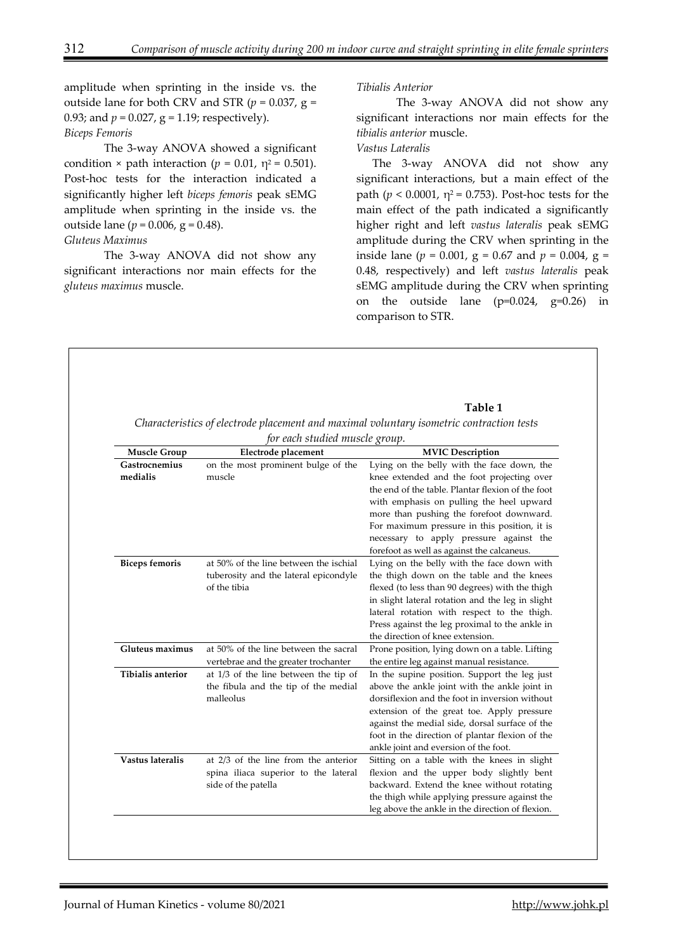amplitude when sprinting in the inside vs. the outside lane for both CRV and STR ( $p = 0.037$ ,  $g =$ 0.93; and  $p = 0.027$ ,  $g = 1.19$ ; respectively).

# *Biceps Femoris*

The 3-way ANOVA showed a significant condition  $\times$  path interaction ( $p = 0.01$ ,  $\eta^2 = 0.501$ ). Post-hoc tests for the interaction indicated a significantly higher left *biceps femoris* peak sEMG amplitude when sprinting in the inside vs. the outside lane ( $p = 0.006$ ,  $g = 0.48$ ).

#### *Gluteus Maximus*

The 3-way ANOVA did not show any significant interactions nor main effects for the *gluteus maximus* muscle.

#### *Tibialis Anterior*

The 3-way ANOVA did not show any significant interactions nor main effects for the *tibialis anterior* muscle.

## *Vastus Lateralis*

The 3-way ANOVA did not show any significant interactions, but a main effect of the path ( $p < 0.0001$ ,  $\eta^2 = 0.753$ ). Post-hoc tests for the main effect of the path indicated a significantly higher right and left *vastus lateralis* peak sEMG amplitude during the CRV when sprinting in the inside lane ( $p = 0.001$ ,  $g = 0.67$  and  $p = 0.004$ ,  $g =$ 0.48, respectively) and left *vastus lateralis* peak sEMG amplitude during the CRV when sprinting on the outside lane (p=0.024, g=0.26) in comparison to STR.

#### **Table 1**

*Characteristics of electrode placement and maximal voluntary isometric contraction tests for each studied muscle group.*

| <b>Muscle Group</b>      | Electrode placement                    | <b>MVIC Description</b>                           |
|--------------------------|----------------------------------------|---------------------------------------------------|
| <b>Gastrocnemius</b>     | on the most prominent bulge of the     | Lying on the belly with the face down, the        |
| medialis                 | muscle                                 | knee extended and the foot projecting over        |
|                          |                                        | the end of the table. Plantar flexion of the foot |
|                          |                                        | with emphasis on pulling the heel upward          |
|                          |                                        | more than pushing the forefoot downward.          |
|                          |                                        | For maximum pressure in this position, it is      |
|                          |                                        | necessary to apply pressure against the           |
|                          |                                        | forefoot as well as against the calcaneus.        |
| <b>Biceps femoris</b>    | at 50% of the line between the ischial | Lying on the belly with the face down with        |
|                          | tuberosity and the lateral epicondyle  | the thigh down on the table and the knees         |
|                          | of the tibia                           | flexed (to less than 90 degrees) with the thigh   |
|                          |                                        | in slight lateral rotation and the leg in slight  |
|                          |                                        | lateral rotation with respect to the thigh.       |
|                          |                                        | Press against the leg proximal to the ankle in    |
|                          |                                        | the direction of knee extension.                  |
| Gluteus maximus          | at 50% of the line between the sacral  | Prone position, lying down on a table. Lifting    |
|                          | vertebrae and the greater trochanter   | the entire leg against manual resistance.         |
| <b>Tibialis anterior</b> | at 1/3 of the line between the tip of  | In the supine position. Support the leg just      |
|                          | the fibula and the tip of the medial   | above the ankle joint with the ankle joint in     |
|                          | malleolus                              | dorsiflexion and the foot in inversion without    |
|                          |                                        | extension of the great toe. Apply pressure        |
|                          |                                        | against the medial side, dorsal surface of the    |
|                          |                                        | foot in the direction of plantar flexion of the   |
|                          |                                        | ankle joint and eversion of the foot.             |
| Vastus lateralis         | at 2/3 of the line from the anterior   | Sitting on a table with the knees in slight       |
|                          | spina iliaca superior to the lateral   | flexion and the upper body slightly bent          |
|                          | side of the patella                    | backward. Extend the knee without rotating        |
|                          |                                        | the thigh while applying pressure against the     |
|                          |                                        | leg above the ankle in the direction of flexion.  |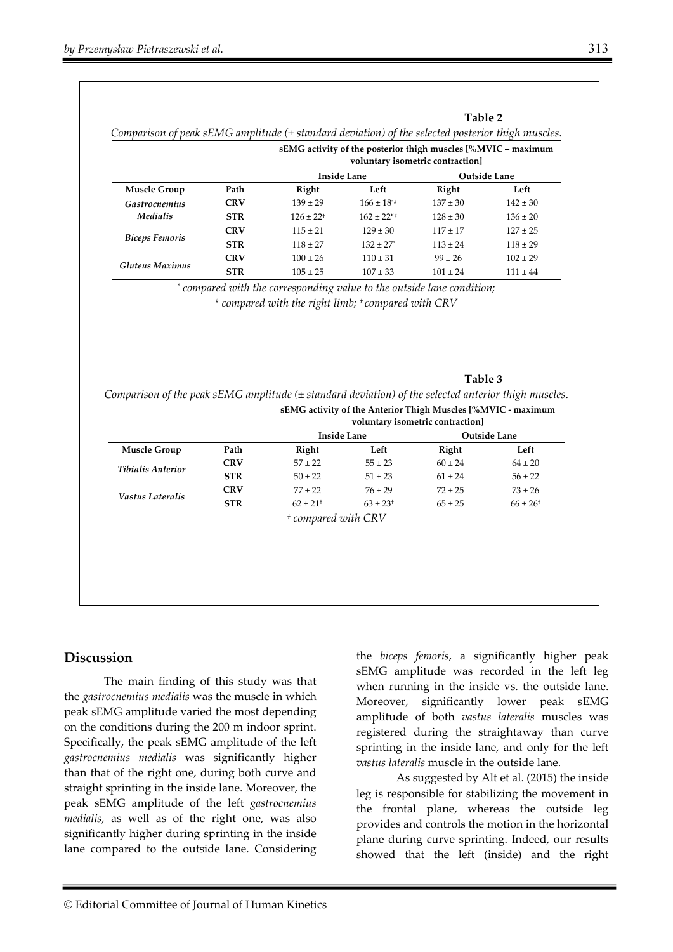|                                         |            | sEMG activity of the posterior thigh muscles [%MVIC – maximum<br>voluntary isometric contraction] |                           |                     |              |  |
|-----------------------------------------|------------|---------------------------------------------------------------------------------------------------|---------------------------|---------------------|--------------|--|
|                                         |            | <b>Inside Lane</b>                                                                                |                           | <b>Outside Lane</b> |              |  |
| <b>Muscle Group</b>                     | Path       | Right                                                                                             | Left                      | Right               | Left         |  |
| <b>Gastrocnemius</b><br><i>Medialis</i> | <b>CRV</b> | $139 \pm 29$                                                                                      | $166 \pm 18^{*}$          | $137 \pm 30$        | $142 \pm 30$ |  |
|                                         | <b>STR</b> | $126 \pm 22$ <sup>+</sup>                                                                         | $162 \pm 22**$            | $128 \pm 30$        | $136 \pm 20$ |  |
| <b>Biceps Femoris</b>                   | <b>CRV</b> | $115 + 21$                                                                                        | $129 \pm 30$              | $117 + 17$          | $127 \pm 25$ |  |
|                                         | <b>STR</b> | $118 \pm 27$                                                                                      | $132 \pm 27$ <sup>*</sup> | $113 \pm 24$        | $118 \pm 29$ |  |
| <b>Gluteus Maximus</b>                  | <b>CRV</b> | $100 \pm 26$                                                                                      | $110 \pm 31$              | $99 \pm 26$         | $102 \pm 29$ |  |
|                                         | <b>STR</b> | $105 \pm 25$                                                                                      | $107 \pm 33$              | $101 \pm 24$        | $111 \pm 44$ |  |
|                                         |            | * compared with the corresponding value to the outside lane condition;                            |                           |                     |              |  |
|                                         |            | $*$ compared with the right limb; $*$ compared with CRV                                           |                           |                     |              |  |

#### **Table 3**

|                          |            | Comparison of the peak sEMG amplitude $(\pm$ standard deviation) of the selected anterior thigh muscles.<br>sEMG activity of the Anterior Thigh Muscles [%MVIC - maximum<br>voluntary isometric contraction] |                          |             |                          |  |
|--------------------------|------------|--------------------------------------------------------------------------------------------------------------------------------------------------------------------------------------------------------------|--------------------------|-------------|--------------------------|--|
|                          |            |                                                                                                                                                                                                              | <b>Inside Lane</b>       |             | <b>Outside Lane</b>      |  |
| <b>Muscle Group</b>      | Path       | Right                                                                                                                                                                                                        | Left                     | Right       | Left                     |  |
| <b>Tibialis Anterior</b> | <b>CRV</b> | $57 \pm 22$                                                                                                                                                                                                  | $55 \pm 23$              | $60 \pm 24$ | $64 \pm 20$              |  |
|                          | <b>STR</b> | $50 \pm 22$                                                                                                                                                                                                  | $51 \pm 23$              | $61 \pm 24$ | $56 \pm 22$              |  |
| Vastus Lateralis         | <b>CRV</b> | $77 + 22$                                                                                                                                                                                                    | $76 \pm 29$              | $72 \pm 25$ | $73 \pm 26$              |  |
|                          | <b>STR</b> | $62 + 21$ <sup>+</sup>                                                                                                                                                                                       | $63 \pm 23$ <sup>+</sup> | $65 \pm 25$ | $66 \pm 26$ <sup>+</sup> |  |

*† compared with CRV* 

## **Discussion**

The main finding of this study was that the *gastrocnemius medialis* was the muscle in which peak sEMG amplitude varied the most depending on the conditions during the 200 m indoor sprint. Specifically, the peak sEMG amplitude of the left *gastrocnemius medialis* was significantly higher than that of the right one, during both curve and straight sprinting in the inside lane. Moreover, the peak sEMG amplitude of the left *gastrocnemius medialis*, as well as of the right one, was also significantly higher during sprinting in the inside lane compared to the outside lane. Considering

the *biceps femoris*, a significantly higher peak sEMG amplitude was recorded in the left leg when running in the inside vs. the outside lane. Moreover, significantly lower peak sEMG amplitude of both *vastus lateralis* muscles was registered during the straightaway than curve sprinting in the inside lane, and only for the left *vastus lateralis* muscle in the outside lane.

As suggested by Alt et al. (2015) the inside leg is responsible for stabilizing the movement in the frontal plane, whereas the outside leg provides and controls the motion in the horizontal plane during curve sprinting. Indeed, our results showed that the left (inside) and the right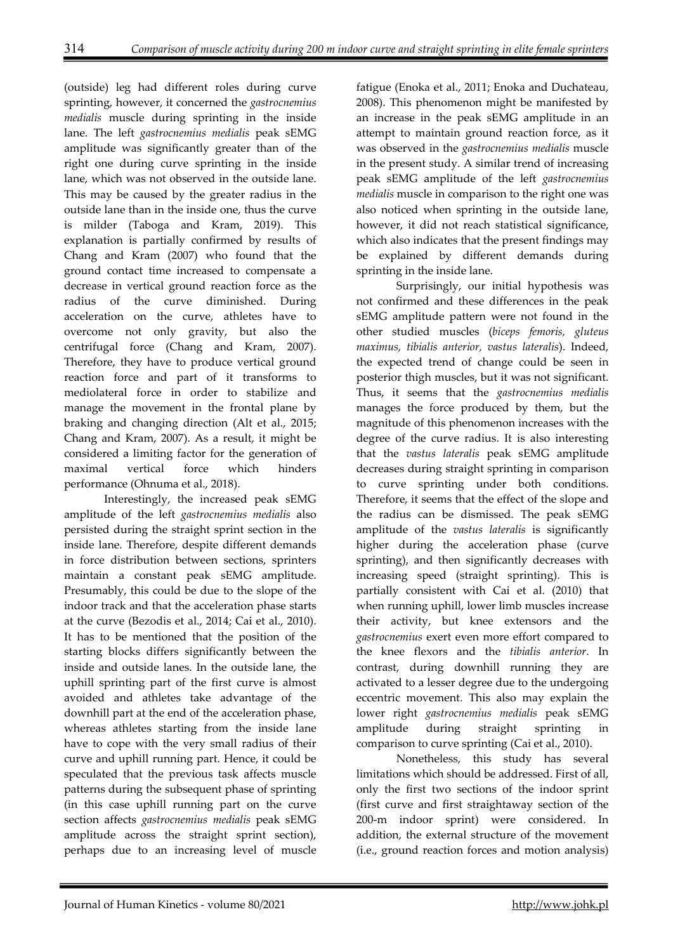(outside) leg had different roles during curve sprinting, however, it concerned the *gastrocnemius medialis* muscle during sprinting in the inside lane. The left *gastrocnemius medialis* peak sEMG amplitude was significantly greater than of the right one during curve sprinting in the inside lane, which was not observed in the outside lane. This may be caused by the greater radius in the outside lane than in the inside one, thus the curve is milder (Taboga and Kram, 2019). This explanation is partially confirmed by results of Chang and Kram (2007) who found that the ground contact time increased to compensate a decrease in vertical ground reaction force as the radius of the curve diminished. During acceleration on the curve, athletes have to overcome not only gravity, but also the centrifugal force (Chang and Kram, 2007). Therefore, they have to produce vertical ground reaction force and part of it transforms to mediolateral force in order to stabilize and manage the movement in the frontal plane by braking and changing direction (Alt et al., 2015; Chang and Kram, 2007). As a result, it might be considered a limiting factor for the generation of maximal vertical force which hinders performance (Ohnuma et al., 2018).

Interestingly, the increased peak sEMG amplitude of the left *gastrocnemius medialis* also persisted during the straight sprint section in the inside lane. Therefore, despite different demands in force distribution between sections, sprinters maintain a constant peak sEMG amplitude. Presumably, this could be due to the slope of the indoor track and that the acceleration phase starts at the curve (Bezodis et al., 2014; Cai et al., 2010). It has to be mentioned that the position of the starting blocks differs significantly between the inside and outside lanes. In the outside lane, the uphill sprinting part of the first curve is almost avoided and athletes take advantage of the downhill part at the end of the acceleration phase, whereas athletes starting from the inside lane have to cope with the very small radius of their curve and uphill running part. Hence, it could be speculated that the previous task affects muscle patterns during the subsequent phase of sprinting (in this case uphill running part on the curve section affects *gastrocnemius medialis* peak sEMG amplitude across the straight sprint section), perhaps due to an increasing level of muscle

fatigue (Enoka et al., 2011; Enoka and Duchateau, 2008). This phenomenon might be manifested by an increase in the peak sEMG amplitude in an attempt to maintain ground reaction force, as it was observed in the *gastrocnemius medialis* muscle in the present study. A similar trend of increasing peak sEMG amplitude of the left *gastrocnemius medialis* muscle in comparison to the right one was also noticed when sprinting in the outside lane, however, it did not reach statistical significance, which also indicates that the present findings may be explained by different demands during sprinting in the inside lane.

Surprisingly, our initial hypothesis was not confirmed and these differences in the peak sEMG amplitude pattern were not found in the other studied muscles (*biceps femoris, gluteus maximus, tibialis anterior, vastus lateralis*). Indeed, the expected trend of change could be seen in posterior thigh muscles, but it was not significant. Thus, it seems that the *gastrocnemius medialis* manages the force produced by them, but the magnitude of this phenomenon increases with the degree of the curve radius. It is also interesting that the *vastus lateralis* peak sEMG amplitude decreases during straight sprinting in comparison to curve sprinting under both conditions. Therefore, it seems that the effect of the slope and the radius can be dismissed. The peak sEMG amplitude of the *vastus lateralis* is significantly higher during the acceleration phase (curve sprinting), and then significantly decreases with increasing speed (straight sprinting). This is partially consistent with Cai et al. (2010) that when running uphill, lower limb muscles increase their activity, but knee extensors and the *gastrocnemius* exert even more effort compared to the knee flexors and the *tibialis anterior*. In contrast, during downhill running they are activated to a lesser degree due to the undergoing eccentric movement. This also may explain the lower right *gastrocnemius medialis* peak sEMG amplitude during straight sprinting comparison to curve sprinting (Cai et al., 2010).

Nonetheless, this study has several limitations which should be addressed. First of all, only the first two sections of the indoor sprint (first curve and first straightaway section of the 200-m indoor sprint) were considered. In addition, the external structure of the movement (i.e., ground reaction forces and motion analysis)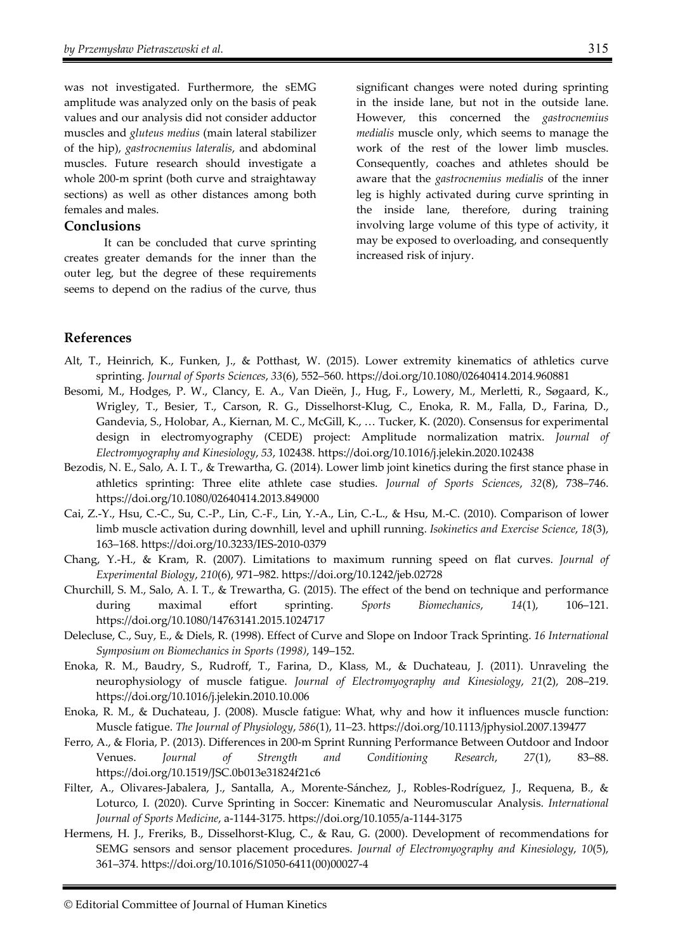was not investigated. Furthermore, the sEMG amplitude was analyzed only on the basis of peak values and our analysis did not consider adductor muscles and *gluteus medius* (main lateral stabilizer of the hip), *gastrocnemius lateralis*, and abdominal muscles. Future research should investigate a whole 200-m sprint (both curve and straightaway sections) as well as other distances among both females and males.

## **Conclusions**

It can be concluded that curve sprinting creates greater demands for the inner than the outer leg, but the degree of these requirements seems to depend on the radius of the curve, thus

significant changes were noted during sprinting in the inside lane, but not in the outside lane. However, this concerned the *gastrocnemius medialis* muscle only, which seems to manage the work of the rest of the lower limb muscles. Consequently, coaches and athletes should be aware that the *gastrocnemius medialis* of the inner leg is highly activated during curve sprinting in the inside lane, therefore, during training involving large volume of this type of activity, it may be exposed to overloading, and consequently increased risk of injury.

## **References**

- Alt, T., Heinrich, K., Funken, J., & Potthast, W. (2015). Lower extremity kinematics of athletics curve sprinting. *Journal of Sports Sciences*, *33*(6), 552–560. https://doi.org/10.1080/02640414.2014.960881
- Besomi, M., Hodges, P. W., Clancy, E. A., Van Dieën, J., Hug, F., Lowery, M., Merletti, R., Søgaard, K., Wrigley, T., Besier, T., Carson, R. G., Disselhorst-Klug, C., Enoka, R. M., Falla, D., Farina, D., Gandevia, S., Holobar, A., Kiernan, M. C., McGill, K., … Tucker, K. (2020). Consensus for experimental design in electromyography (CEDE) project: Amplitude normalization matrix. *Journal of Electromyography and Kinesiology*, *53*, 102438. https://doi.org/10.1016/j.jelekin.2020.102438
- Bezodis, N. E., Salo, A. I. T., & Trewartha, G. (2014). Lower limb joint kinetics during the first stance phase in athletics sprinting: Three elite athlete case studies. *Journal of Sports Sciences*, *32*(8), 738–746. https://doi.org/10.1080/02640414.2013.849000
- Cai, Z.-Y., Hsu, C.-C., Su, C.-P., Lin, C.-F., Lin, Y.-A., Lin, C.-L., & Hsu, M.-C. (2010). Comparison of lower limb muscle activation during downhill, level and uphill running. *Isokinetics and Exercise Science*, *18*(3), 163–168. https://doi.org/10.3233/IES-2010-0379
- Chang, Y.-H., & Kram, R. (2007). Limitations to maximum running speed on flat curves. *Journal of Experimental Biology*, *210*(6), 971–982. https://doi.org/10.1242/jeb.02728
- Churchill, S. M., Salo, A. I. T., & Trewartha, G. (2015). The effect of the bend on technique and performance during maximal effort sprinting. *Sports Biomechanics*, *14*(1), 106–121. https://doi.org/10.1080/14763141.2015.1024717
- Delecluse, C., Suy, E., & Diels, R. (1998). Effect of Curve and Slope on Indoor Track Sprinting. *16 International Symposium on Biomechanics in Sports (1998)*, 149–152.
- Enoka, R. M., Baudry, S., Rudroff, T., Farina, D., Klass, M., & Duchateau, J. (2011). Unraveling the neurophysiology of muscle fatigue. *Journal of Electromyography and Kinesiology*, *21*(2), 208–219. https://doi.org/10.1016/j.jelekin.2010.10.006
- Enoka, R. M., & Duchateau, J. (2008). Muscle fatigue: What, why and how it influences muscle function: Muscle fatigue. *The Journal of Physiology*, *586*(1), 11–23. https://doi.org/10.1113/jphysiol.2007.139477
- Ferro, A., & Floria, P. (2013). Differences in 200-m Sprint Running Performance Between Outdoor and Indoor Venues. *Journal of Strength and Conditioning Research*, *27*(1), 83–88. https://doi.org/10.1519/JSC.0b013e31824f21c6
- Filter, A., Olivares-Jabalera, J., Santalla, A., Morente-Sánchez, J., Robles-Rodríguez, J., Requena, B., & Loturco, I. (2020). Curve Sprinting in Soccer: Kinematic and Neuromuscular Analysis. *International Journal of Sports Medicine*, a-1144-3175. https://doi.org/10.1055/a-1144-3175
- Hermens, H. J., Freriks, B., Disselhorst-Klug, C., & Rau, G. (2000). Development of recommendations for SEMG sensors and sensor placement procedures. *Journal of Electromyography and Kinesiology*, *10*(5), 361–374. https://doi.org/10.1016/S1050-6411(00)00027-4